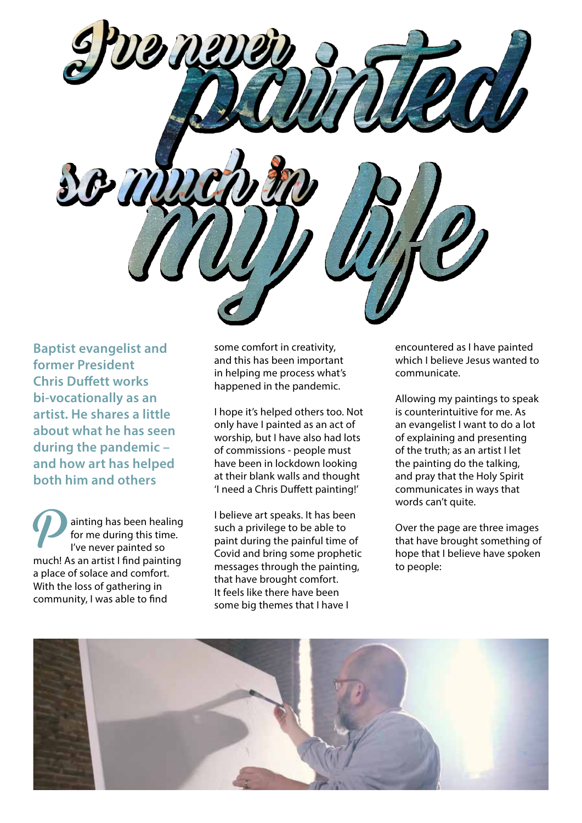**Baptist evangelist and former President Chris Duffett works bi-vocationally as an artist. He shares a little about what he has seen during the pandemic – and how art has helped both him and others**

ainting has been healing for me during this time. I've never painted so much! As an artist I find painting a place of solace and comfort. With the loss of gathering in community, I was able to find  $\boldsymbol{\mathcal{P}}$ 

some comfort in creativity, and this has been important in helping me process what's happened in the pandemic.

I hope it's helped others too. Not only have I painted as an act of worship, but I have also had lots of commissions - people must have been in lockdown looking at their blank walls and thought 'I need a Chris Duffett painting!'

I believe art speaks. It has been such a privilege to be able to paint during the painful time of Covid and bring some prophetic messages through the painting, that have brought comfort. It feels like there have been some big themes that I have I

encountered as I have painted which I believe Jesus wanted to communicate.

Allowing my paintings to speak is counterintuitive for me. As an evangelist I want to do a lot of explaining and presenting of the truth; as an artist I let the painting do the talking, and pray that the Holy Spirit communicates in ways that words can't quite.

Over the page are three images that have brought something of hope that I believe have spoken to people:

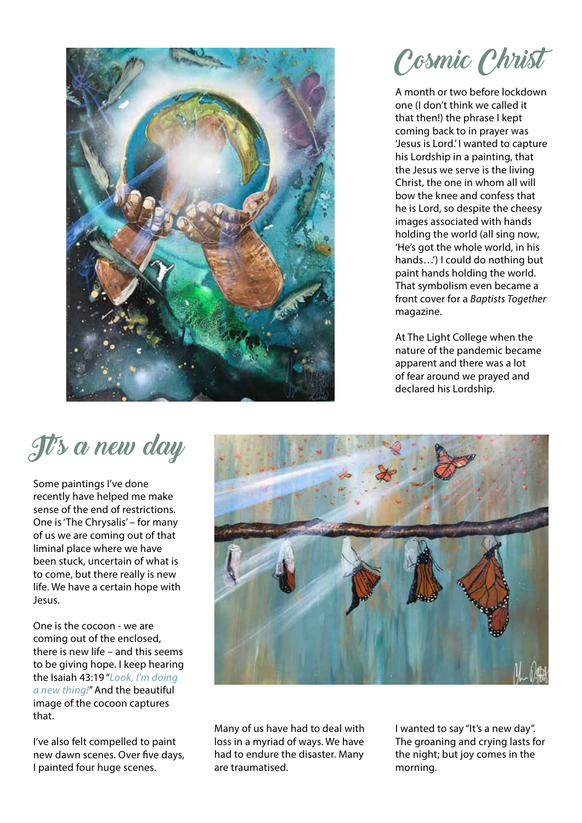

Cosmic Christ

A month or two before lockdown one (I don't think we called it that then!) the phrase I kept coming back to in prayer was 'Jesus is Lord.' I wanted to capture his Lordship in a painting, that the Jesus we serve is the living Christ, the one in whom all will bow the knee and confess that he is Lord, so despite the cheesy images associated with hands holding the world (all sing now, 'He's got the whole world, in his hands…') I could do nothing but paint hands holding the world. That symbolism even became a front cover for a *Baptists Together* magazine.

At The Light College when the nature of the pandemic became apparent and there was a lot of fear around we prayed and declared his Lordship.

## It's a new day

Some paintings I've done recently have helped me make sense of the end of restrictions. One is 'The Chrysalis' – for many of us we are coming out of that liminal place where we have been stuck, uncertain of what is to come, but there really is new life. We have a certain hope with Jesus.

One is the cocoon - we are coming out of the enclosed, there is new life – and this seems to be giving hope. I keep hearing the Isaiah 43:19 "*Look, I'm doing a new thing!*" And the beautiful image of the cocoon captures that.

I've also felt compelled to paint new dawn scenes. Over five days, I painted four huge scenes.



Many of us have had to deal with loss in a myriad of ways. We have had to endure the disaster. Many are traumatised.

I wanted to say "It's a new day". The groaning and crying lasts for the night; but joy comes in the morning.